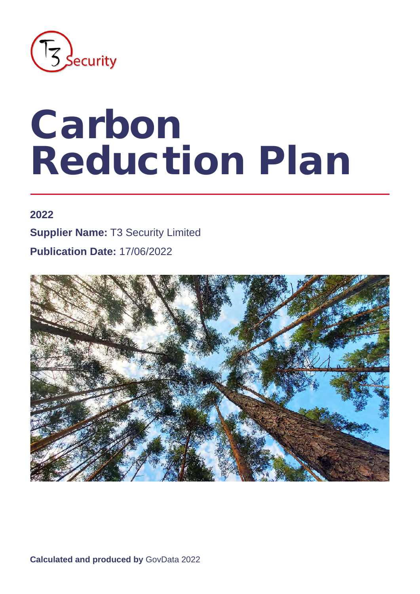

# Carbon Reduction Plan

#### **2022**

**Supplier Name:** T3 Security Limited

**Publication Date:** 17/06/2022



**Calculated and produced by** GovData 2022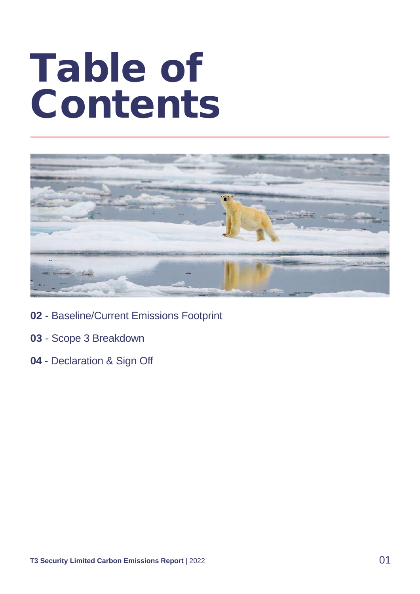## Table of Contents



- **02**  Baseline/Current Emissions Footprint
- **03**  Scope 3 Breakdown
- **04**  Declaration & Sign Off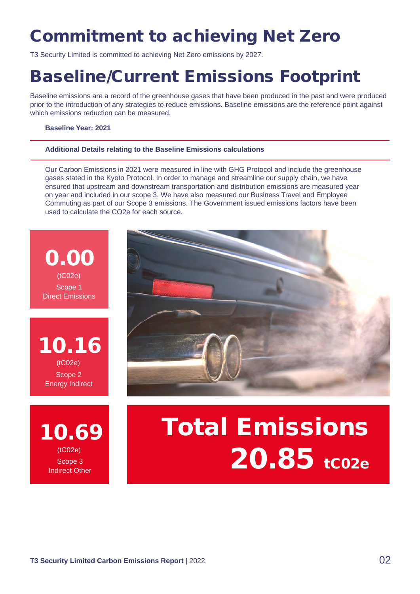## Commitment to achieving Net Zero

T3 Security Limited is committed to achieving Net Zero emissions by 2027.

### Baseline/Current Emissions Footprint

Baseline emissions are a record of the greenhouse gases that have been produced in the past and were produced prior to the introduction of any strategies to reduce emissions. Baseline emissions are the reference point against which emissions reduction can be measured.

#### **Baseline Year: 2021**

#### **Additional Details relating to the Baseline Emissions calculations**

Our Carbon Emissions in 2021 were measured in line with GHG Protocol and include the greenhouse gases stated in the Kyoto Protocol. In order to manage and streamline our supply chain, we have ensured that upstream and downstream transportation and distribution emissions are measured year on year and included in our scope 3. We have also measured our Business Travel and Employee Commuting as part of our Scope 3 emissions. The Government issued emissions factors have been used to calculate the CO2e for each source.



10.16 Scope 2 Energy Indirect (tC02e)

10.69 Scope 3 Indirect Other (tC02e)



## Total Emissions 20.85 tco2e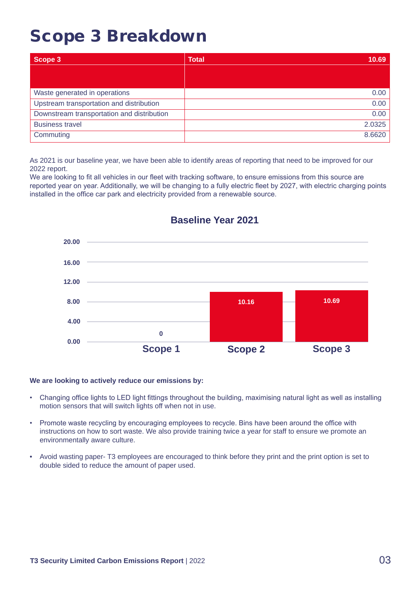### Scope 3 Breakdown

| Scope 3                                    | <b>Total</b><br>10.69 |
|--------------------------------------------|-----------------------|
|                                            |                       |
|                                            |                       |
| Waste generated in operations              | 0.00                  |
| Upstream transportation and distribution   | 0.00                  |
| Downstream transportation and distribution | 0.00                  |
| <b>Business travel</b>                     | 2.0325                |
| Commuting                                  | 8.6620                |

As 2021 is our baseline year, we have been able to identify areas of reporting that need to be improved for our 2022 report.

We are looking to fit all vehicles in our fleet with tracking software, to ensure emissions from this source are reported year on year. Additionally, we will be changing to a fully electric fleet by 2027, with electric charging points installed in the office car park and electricity provided from a renewable source.



#### **Baseline Year 2021**

#### **We are looking to actively reduce our emissions by:**

- Changing office lights to LED light fittings throughout the building, maximising natural light as well as installing motion sensors that will switch lights off when not in use.
- Promote waste recycling by encouraging employees to recycle. Bins have been around the office with instructions on how to sort waste. We also provide training twice a year for staff to ensure we promote an environmentally aware culture.
- Avoid wasting paper- T3 employees are encouraged to think before they print and the print option is set to double sided to reduce the amount of paper used.